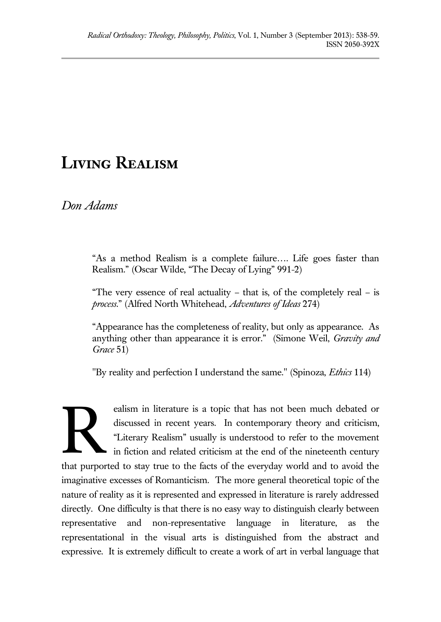## **Living Realism**

*Don Adams*

"As a method Realism is a complete failure…. Life goes faster than Realism." (Oscar Wilde, "The Decay of Lying" 991-2)

"The very essence of real actuality – that is, of the completely real – is *process*." (Alfred North Whitehead, *Adventures of Ideas* 274)

"Appearance has the completeness of reality, but only as appearance. As anything other than appearance it is error." (Simone Weil, *Gravity and Grace* 51)

"By reality and perfection I understand the same." (Spinoza, *Ethics* 114)

ealism in literature is a topic that has not been much debated or discussed in recent years. In contemporary theory and criticism, "Literary Realism" usually is understood to refer to the movement in fiction and related criticism at the end of the nineteenth century that purported to stay true to the facts of the everyday world and to avoid the imaginative excesses of Romanticism. The more general theoretical topic of the nature of reality as it is represented and expressed in literature is rarely addressed directly. One difficulty is that there is no easy way to distinguish clearly between representative and non-representative language in literature, as the representational in the visual arts is distinguished from the abstract and expressive. It is extremely difficult to create a work of art in verbal language that R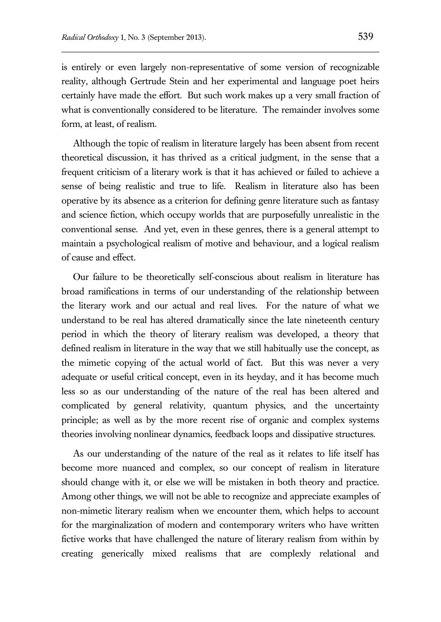is entirely or even largely non-representative of some version of recognizable reality, although Gertrude Stein and her experimental and language poet heirs certainly have made the effort. But such work makes up a very small fraction of what is conventionally considered to be literature. The remainder involves some form, at least, of realism.

Although the topic of realism in literature largely has been absent from recent theoretical discussion, it has thrived as a critical judgment, in the sense that a frequent criticism of a literary work is that it has achieved or failed to achieve a sense of being realistic and true to life. Realism in literature also has been operative by its absence as a criterion for defining genre literature such as fantasy and science fiction, which occupy worlds that are purposefully unrealistic in the conventional sense. And yet, even in these genres, there is a general attempt to maintain a psychological realism of motive and behaviour, and a logical realism of cause and effect.

Our failure to be theoretically self-conscious about realism in literature has broad ramifications in terms of our understanding of the relationship between the literary work and our actual and real lives. For the nature of what we understand to be real has altered dramatically since the late nineteenth century period in which the theory of literary realism was developed, a theory that defined realism in literature in the way that we still habitually use the concept, as the mimetic copying of the actual world of fact. But this was never a very adequate or useful critical concept, even in its heyday, and it has become much less so as our understanding of the nature of the real has been altered and complicated by general relativity, quantum physics, and the uncertainty principle; as well as by the more recent rise of organic and complex systems theories involving nonlinear dynamics, feedback loops and dissipative structures.

As our understanding of the nature of the real as it relates to life itself has become more nuanced and complex, so our concept of realism in literature should change with it, or else we will be mistaken in both theory and practice. Among other things, we will not be able to recognize and appreciate examples of non-mimetic literary realism when we encounter them, which helps to account for the marginalization of modern and contemporary writers who have written fictive works that have challenged the nature of literary realism from within by creating generically mixed realisms that are complexly relational and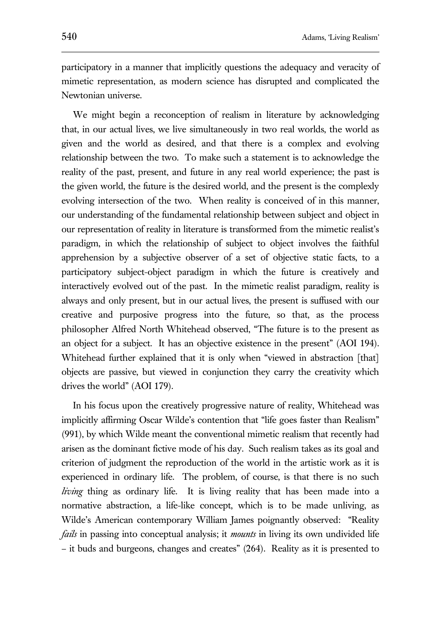participatory in a manner that implicitly questions the adequacy and veracity of mimetic representation, as modern science has disrupted and complicated the Newtonian universe.

We might begin a reconception of realism in literature by acknowledging that, in our actual lives, we live simultaneously in two real worlds, the world as given and the world as desired, and that there is a complex and evolving relationship between the two. To make such a statement is to acknowledge the reality of the past, present, and future in any real world experience; the past is the given world, the future is the desired world, and the present is the complexly evolving intersection of the two. When reality is conceived of in this manner, our understanding of the fundamental relationship between subject and object in our representation of reality in literature is transformed from the mimetic realist's paradigm, in which the relationship of subject to object involves the faithful apprehension by a subjective observer of a set of objective static facts, to a participatory subject-object paradigm in which the future is creatively and interactively evolved out of the past. In the mimetic realist paradigm, reality is always and only present, but in our actual lives, the present is suffused with our creative and purposive progress into the future, so that, as the process philosopher Alfred North Whitehead observed, "The future is to the present as an object for a subject. It has an objective existence in the present" (AOI 194). Whitehead further explained that it is only when "viewed in abstraction [that] objects are passive, but viewed in conjunction they carry the creativity which drives the world" (AOI 179).

In his focus upon the creatively progressive nature of reality, Whitehead was implicitly affirming Oscar Wilde's contention that "life goes faster than Realism" (991), by which Wilde meant the conventional mimetic realism that recently had arisen as the dominant fictive mode of his day. Such realism takes as its goal and criterion of judgment the reproduction of the world in the artistic work as it is experienced in ordinary life. The problem, of course, is that there is no such *living* thing as ordinary life. It is living reality that has been made into a normative abstraction, a life-like concept, which is to be made unliving, as Wilde's American contemporary William James poignantly observed: "Reality *fails* in passing into conceptual analysis; it *mounts* in living its own undivided life – it buds and burgeons, changes and creates" (264). Reality as it is presented to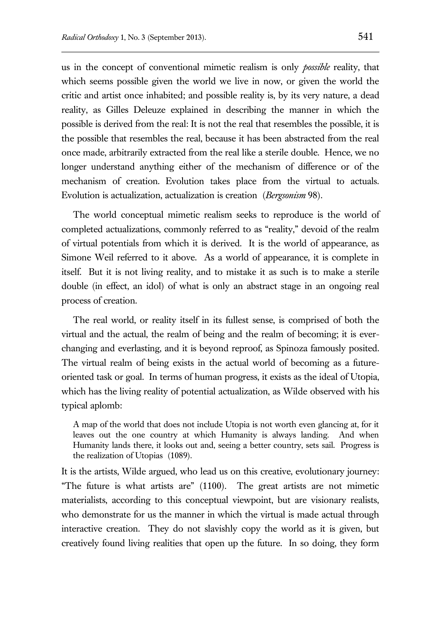us in the concept of conventional mimetic realism is only *possible* reality, that which seems possible given the world we live in now, or given the world the critic and artist once inhabited; and possible reality is, by its very nature, a dead reality, as Gilles Deleuze explained in describing the manner in which the possible is derived from the real: It is not the real that resembles the possible, it is the possible that resembles the real, because it has been abstracted from the real once made, arbitrarily extracted from the real like a sterile double. Hence, we no longer understand anything either of the mechanism of difference or of the mechanism of creation. Evolution takes place from the virtual to actuals. Evolution is actualization, actualization is creation (*Bergsonism* 98).

The world conceptual mimetic realism seeks to reproduce is the world of completed actualizations, commonly referred to as "reality," devoid of the realm of virtual potentials from which it is derived. It is the world of appearance, as Simone Weil referred to it above. As a world of appearance, it is complete in itself. But it is not living reality, and to mistake it as such is to make a sterile double (in effect, an idol) of what is only an abstract stage in an ongoing real process of creation.

The real world, or reality itself in its fullest sense, is comprised of both the virtual and the actual, the realm of being and the realm of becoming; it is everchanging and everlasting, and it is beyond reproof, as Spinoza famously posited. The virtual realm of being exists in the actual world of becoming as a futureoriented task or goal. In terms of human progress, it exists as the ideal of Utopia, which has the living reality of potential actualization, as Wilde observed with his typical aplomb:

A map of the world that does not include Utopia is not worth even glancing at, for it leaves out the one country at which Humanity is always landing. And when Humanity lands there, it looks out and, seeing a better country, sets sail. Progress is the realization of Utopias (1089).

It is the artists, Wilde argued, who lead us on this creative, evolutionary journey: "The future is what artists are" (1100). The great artists are not mimetic materialists, according to this conceptual viewpoint, but are visionary realists, who demonstrate for us the manner in which the virtual is made actual through interactive creation. They do not slavishly copy the world as it is given, but creatively found living realities that open up the future. In so doing, they form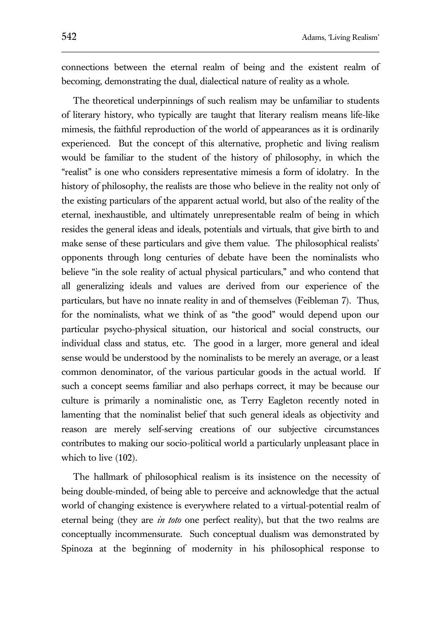connections between the eternal realm of being and the existent realm of becoming, demonstrating the dual, dialectical nature of reality as a whole.

The theoretical underpinnings of such realism may be unfamiliar to students of literary history, who typically are taught that literary realism means life-like mimesis, the faithful reproduction of the world of appearances as it is ordinarily experienced. But the concept of this alternative, prophetic and living realism would be familiar to the student of the history of philosophy, in which the "realist" is one who considers representative mimesis a form of idolatry. In the history of philosophy, the realists are those who believe in the reality not only of the existing particulars of the apparent actual world, but also of the reality of the eternal, inexhaustible, and ultimately unrepresentable realm of being in which resides the general ideas and ideals, potentials and virtuals, that give birth to and make sense of these particulars and give them value. The philosophical realists' opponents through long centuries of debate have been the nominalists who believe "in the sole reality of actual physical particulars," and who contend that all generalizing ideals and values are derived from our experience of the particulars, but have no innate reality in and of themselves (Feibleman 7). Thus, for the nominalists, what we think of as "the good" would depend upon our particular psycho-physical situation, our historical and social constructs, our individual class and status, etc. The good in a larger, more general and ideal sense would be understood by the nominalists to be merely an average, or a least common denominator, of the various particular goods in the actual world. If such a concept seems familiar and also perhaps correct, it may be because our culture is primarily a nominalistic one, as Terry Eagleton recently noted in lamenting that the nominalist belief that such general ideals as objectivity and reason are merely self-serving creations of our subjective circumstances contributes to making our socio-political world a particularly unpleasant place in which to live (102).

The hallmark of philosophical realism is its insistence on the necessity of being double-minded, of being able to perceive and acknowledge that the actual world of changing existence is everywhere related to a virtual-potential realm of eternal being (they are *in toto* one perfect reality), but that the two realms are conceptually incommensurate. Such conceptual dualism was demonstrated by Spinoza at the beginning of modernity in his philosophical response to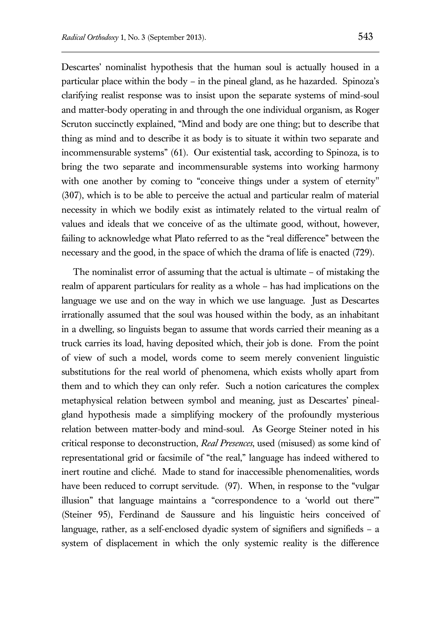Descartes' nominalist hypothesis that the human soul is actually housed in a particular place within the body – in the pineal gland, as he hazarded. Spinoza's clarifying realist response was to insist upon the separate systems of mind-soul and matter-body operating in and through the one individual organism, as Roger Scruton succinctly explained, "Mind and body are one thing; but to describe that thing as mind and to describe it as body is to situate it within two separate and incommensurable systems" (61). Our existential task, according to Spinoza, is to bring the two separate and incommensurable systems into working harmony with one another by coming to "conceive things under a system of eternity" (307), which is to be able to perceive the actual and particular realm of material necessity in which we bodily exist as intimately related to the virtual realm of values and ideals that we conceive of as the ultimate good, without, however, failing to acknowledge what Plato referred to as the "real difference" between the necessary and the good, in the space of which the drama of life is enacted (729).

The nominalist error of assuming that the actual is ultimate – of mistaking the realm of apparent particulars for reality as a whole – has had implications on the language we use and on the way in which we use language. Just as Descartes irrationally assumed that the soul was housed within the body, as an inhabitant in a dwelling, so linguists began to assume that words carried their meaning as a truck carries its load, having deposited which, their job is done. From the point of view of such a model, words come to seem merely convenient linguistic substitutions for the real world of phenomena, which exists wholly apart from them and to which they can only refer. Such a notion caricatures the complex metaphysical relation between symbol and meaning, just as Descartes' pinealgland hypothesis made a simplifying mockery of the profoundly mysterious relation between matter-body and mind-soul. As George Steiner noted in his critical response to deconstruction, *Real Presences*, used (misused) as some kind of representational grid or facsimile of "the real," language has indeed withered to inert routine and cliché. Made to stand for inaccessible phenomenalities, words have been reduced to corrupt servitude. (97). When, in response to the "vulgar illusion" that language maintains a "correspondence to a 'world out there'" (Steiner 95), Ferdinand de Saussure and his linguistic heirs conceived of language, rather, as a self-enclosed dyadic system of signifiers and signifieds – a system of displacement in which the only systemic reality is the difference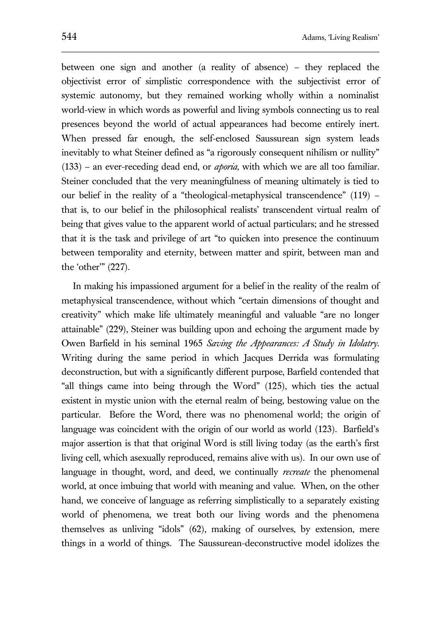between one sign and another (a reality of absence) – they replaced the objectivist error of simplistic correspondence with the subjectivist error of systemic autonomy, but they remained working wholly within a nominalist world-view in which words as powerful and living symbols connecting us to real presences beyond the world of actual appearances had become entirely inert. When pressed far enough, the self-enclosed Saussurean sign system leads inevitably to what Steiner defined as "a rigorously consequent nihilism or nullity" (133) – an ever-receding dead end, or *aporia,* with which we are all too familiar. Steiner concluded that the very meaningfulness of meaning ultimately is tied to our belief in the reality of a "theological-metaphysical transcendence" (119) – that is, to our belief in the philosophical realists' transcendent virtual realm of being that gives value to the apparent world of actual particulars; and he stressed that it is the task and privilege of art "to quicken into presence the continuum between temporality and eternity, between matter and spirit, between man and the 'other'" (227).

In making his impassioned argument for a belief in the reality of the realm of metaphysical transcendence, without which "certain dimensions of thought and creativity" which make life ultimately meaningful and valuable "are no longer attainable" (229), Steiner was building upon and echoing the argument made by Owen Barfield in his seminal 1965 *Saving the Appearances: A Study in Idolatry*. Writing during the same period in which Jacques Derrida was formulating deconstruction, but with a significantly different purpose, Barfield contended that "all things came into being through the Word" (125), which ties the actual existent in mystic union with the eternal realm of being, bestowing value on the particular. Before the Word, there was no phenomenal world; the origin of language was coincident with the origin of our world as world (123). Barfield's major assertion is that that original Word is still living today (as the earth's first living cell, which asexually reproduced, remains alive with us). In our own use of language in thought, word, and deed, we continually *recreate* the phenomenal world, at once imbuing that world with meaning and value. When, on the other hand, we conceive of language as referring simplistically to a separately existing world of phenomena, we treat both our living words and the phenomena themselves as unliving "idols" (62), making of ourselves, by extension, mere things in a world of things. The Saussurean-deconstructive model idolizes the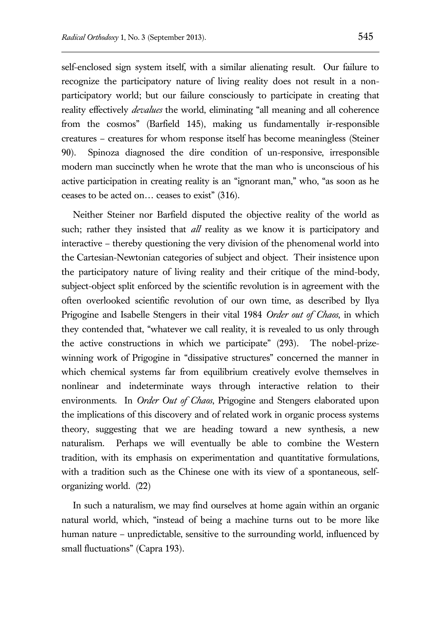self-enclosed sign system itself, with a similar alienating result. Our failure to recognize the participatory nature of living reality does not result in a nonparticipatory world; but our failure consciously to participate in creating that reality effectively *devalues* the world, eliminating "all meaning and all coherence from the cosmos" (Barfield 145), making us fundamentally ir-responsible creatures – creatures for whom response itself has become meaningless (Steiner 90). Spinoza diagnosed the dire condition of un-responsive, irresponsible modern man succinctly when he wrote that the man who is unconscious of his active participation in creating reality is an "ignorant man," who, "as soon as he ceases to be acted on… ceases to exist" (316).

Neither Steiner nor Barfield disputed the objective reality of the world as such; rather they insisted that *all* reality as we know it is participatory and interactive – thereby questioning the very division of the phenomenal world into the Cartesian-Newtonian categories of subject and object. Their insistence upon the participatory nature of living reality and their critique of the mind-body, subject-object split enforced by the scientific revolution is in agreement with the often overlooked scientific revolution of our own time, as described by Ilya Prigogine and Isabelle Stengers in their vital 1984 *Order out of Chaos*, in which they contended that, "whatever we call reality, it is revealed to us only through the active constructions in which we participate" (293). The nobel-prizewinning work of Prigogine in "dissipative structures" concerned the manner in which chemical systems far from equilibrium creatively evolve themselves in nonlinear and indeterminate ways through interactive relation to their environments. In *Order Out of Chaos*, Prigogine and Stengers elaborated upon the implications of this discovery and of related work in organic process systems theory, suggesting that we are heading toward a new synthesis, a new naturalism. Perhaps we will eventually be able to combine the Western tradition, with its emphasis on experimentation and quantitative formulations, with a tradition such as the Chinese one with its view of a spontaneous, selforganizing world. (22)

In such a naturalism, we may find ourselves at home again within an organic natural world, which, "instead of being a machine turns out to be more like human nature – unpredictable, sensitive to the surrounding world, influenced by small fluctuations" (Capra 193).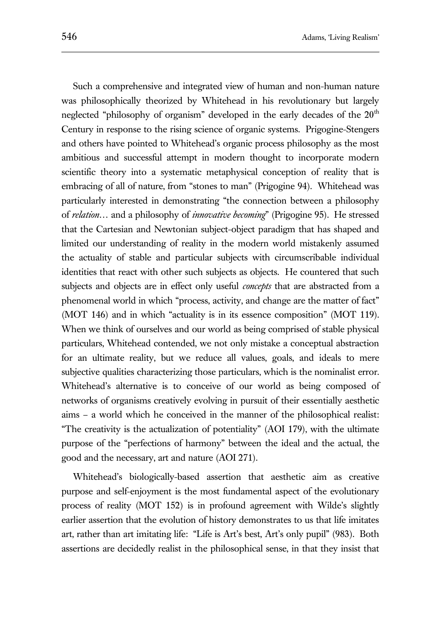Such a comprehensive and integrated view of human and non-human nature was philosophically theorized by Whitehead in his revolutionary but largely neglected "philosophy of organism" developed in the early decades of the  $20<sup>th</sup>$ Century in response to the rising science of organic systems. Prigogine-Stengers and others have pointed to Whitehead's organic process philosophy as the most ambitious and successful attempt in modern thought to incorporate modern scientific theory into a systematic metaphysical conception of reality that is embracing of all of nature, from "stones to man" (Prigogine 94). Whitehead was particularly interested in demonstrating "the connection between a philosophy of *relation*… and a philosophy of *innovative becoming*" (Prigogine 95). He stressed that the Cartesian and Newtonian subject-object paradigm that has shaped and limited our understanding of reality in the modern world mistakenly assumed the actuality of stable and particular subjects with circumscribable individual identities that react with other such subjects as objects. He countered that such subjects and objects are in effect only useful *concepts* that are abstracted from a phenomenal world in which "process, activity, and change are the matter of fact" (MOT 146) and in which "actuality is in its essence composition" (MOT 119). When we think of ourselves and our world as being comprised of stable physical particulars, Whitehead contended, we not only mistake a conceptual abstraction for an ultimate reality, but we reduce all values, goals, and ideals to mere subjective qualities characterizing those particulars, which is the nominalist error. Whitehead's alternative is to conceive of our world as being composed of networks of organisms creatively evolving in pursuit of their essentially aesthetic aims – a world which he conceived in the manner of the philosophical realist: "The creativity is the actualization of potentiality" (AOI 179), with the ultimate purpose of the "perfections of harmony" between the ideal and the actual, the good and the necessary, art and nature (AOI 271).

Whitehead's biologically-based assertion that aesthetic aim as creative purpose and self-enjoyment is the most fundamental aspect of the evolutionary process of reality (MOT 152) is in profound agreement with Wilde's slightly earlier assertion that the evolution of history demonstrates to us that life imitates art, rather than art imitating life: "Life is Art's best, Art's only pupil" (983). Both assertions are decidedly realist in the philosophical sense, in that they insist that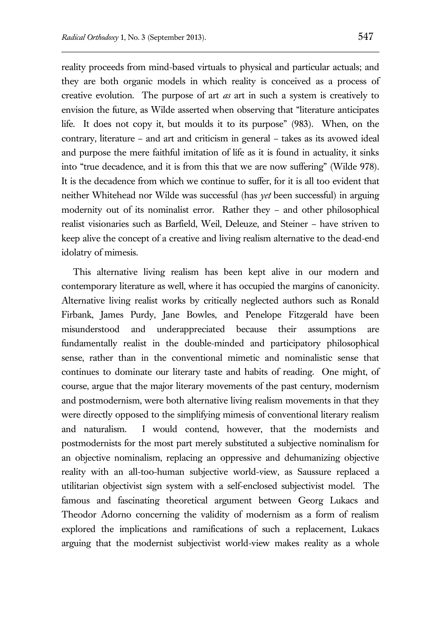reality proceeds from mind-based virtuals to physical and particular actuals; and they are both organic models in which reality is conceived as a process of creative evolution. The purpose of art *as* art in such a system is creatively to envision the future, as Wilde asserted when observing that "literature anticipates life. It does not copy it, but moulds it to its purpose" (983). When, on the contrary, literature – and art and criticism in general – takes as its avowed ideal and purpose the mere faithful imitation of life as it is found in actuality, it sinks into "true decadence, and it is from this that we are now suffering" (Wilde 978). It is the decadence from which we continue to suffer, for it is all too evident that neither Whitehead nor Wilde was successful (has *yet* been successful) in arguing modernity out of its nominalist error. Rather they – and other philosophical realist visionaries such as Barfield, Weil, Deleuze, and Steiner – have striven to keep alive the concept of a creative and living realism alternative to the dead-end idolatry of mimesis.

This alternative living realism has been kept alive in our modern and contemporary literature as well, where it has occupied the margins of canonicity. Alternative living realist works by critically neglected authors such as Ronald Firbank, James Purdy, Jane Bowles, and Penelope Fitzgerald have been misunderstood and underappreciated because their assumptions are fundamentally realist in the double-minded and participatory philosophical sense, rather than in the conventional mimetic and nominalistic sense that continues to dominate our literary taste and habits of reading. One might, of course, argue that the major literary movements of the past century, modernism and postmodernism, were both alternative living realism movements in that they were directly opposed to the simplifying mimesis of conventional literary realism and naturalism. I would contend, however, that the modernists and postmodernists for the most part merely substituted a subjective nominalism for an objective nominalism, replacing an oppressive and dehumanizing objective reality with an all-too-human subjective world-view, as Saussure replaced a utilitarian objectivist sign system with a self-enclosed subjectivist model. The famous and fascinating theoretical argument between Georg Lukacs and Theodor Adorno concerning the validity of modernism as a form of realism explored the implications and ramifications of such a replacement, Lukacs arguing that the modernist subjectivist world-view makes reality as a whole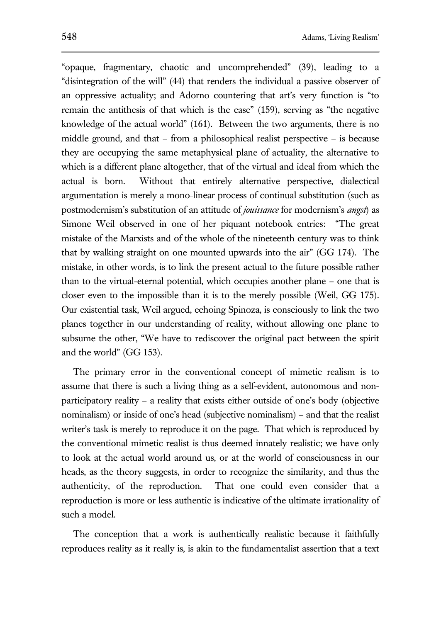"opaque, fragmentary, chaotic and uncomprehended" (39), leading to a "disintegration of the will" (44) that renders the individual a passive observer of an oppressive actuality; and Adorno countering that art's very function is "to remain the antithesis of that which is the case" (159), serving as "the negative knowledge of the actual world" (161). Between the two arguments, there is no middle ground, and that – from a philosophical realist perspective – is because they are occupying the same metaphysical plane of actuality, the alternative to which is a different plane altogether, that of the virtual and ideal from which the actual is born. Without that entirely alternative perspective, dialectical argumentation is merely a mono-linear process of continual substitution (such as postmodernism's substitution of an attitude of *jouissance* for modernism's *angst*) as Simone Weil observed in one of her piquant notebook entries: "The great mistake of the Marxists and of the whole of the nineteenth century was to think that by walking straight on one mounted upwards into the air" (GG 174). The mistake, in other words, is to link the present actual to the future possible rather than to the virtual-eternal potential, which occupies another plane – one that is closer even to the impossible than it is to the merely possible (Weil, GG 175). Our existential task, Weil argued, echoing Spinoza, is consciously to link the two planes together in our understanding of reality, without allowing one plane to subsume the other, "We have to rediscover the original pact between the spirit and the world" (GG 153).

The primary error in the conventional concept of mimetic realism is to assume that there is such a living thing as a self-evident, autonomous and nonparticipatory reality – a reality that exists either outside of one's body (objective nominalism) or inside of one's head (subjective nominalism) – and that the realist writer's task is merely to reproduce it on the page. That which is reproduced by the conventional mimetic realist is thus deemed innately realistic; we have only to look at the actual world around us, or at the world of consciousness in our heads, as the theory suggests, in order to recognize the similarity, and thus the authenticity, of the reproduction. That one could even consider that a reproduction is more or less authentic is indicative of the ultimate irrationality of such a model.

The conception that a work is authentically realistic because it faithfully reproduces reality as it really is, is akin to the fundamentalist assertion that a text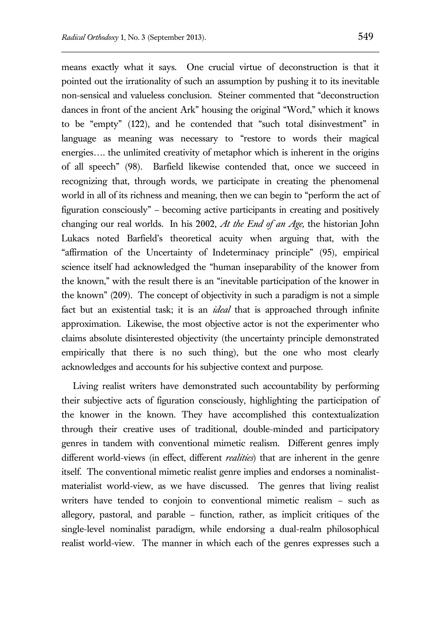means exactly what it says. One crucial virtue of deconstruction is that it pointed out the irrationality of such an assumption by pushing it to its inevitable non-sensical and valueless conclusion. Steiner commented that "deconstruction dances in front of the ancient Ark" housing the original "Word," which it knows to be "empty" (122), and he contended that "such total disinvestment" in language as meaning was necessary to "restore to words their magical energies…. the unlimited creativity of metaphor which is inherent in the origins of all speech" (98). Barfield likewise contended that, once we succeed in recognizing that, through words, we participate in creating the phenomenal world in all of its richness and meaning, then we can begin to "perform the act of figuration consciously" – becoming active participants in creating and positively changing our real worlds. In his 2002, *At the End of an Age,* the historian John Lukacs noted Barfield's theoretical acuity when arguing that, with the "affirmation of the Uncertainty of Indeterminacy principle" (95), empirical science itself had acknowledged the "human inseparability of the knower from the known," with the result there is an "inevitable participation of the knower in the known" (209). The concept of objectivity in such a paradigm is not a simple fact but an existential task; it is an *ideal* that is approached through infinite approximation. Likewise, the most objective actor is not the experimenter who claims absolute disinterested objectivity (the uncertainty principle demonstrated empirically that there is no such thing), but the one who most clearly acknowledges and accounts for his subjective context and purpose.

Living realist writers have demonstrated such accountability by performing their subjective acts of figuration consciously, highlighting the participation of the knower in the known. They have accomplished this contextualization through their creative uses of traditional, double-minded and participatory genres in tandem with conventional mimetic realism. Different genres imply different world-views (in effect, different *realities*) that are inherent in the genre itself. The conventional mimetic realist genre implies and endorses a nominalistmaterialist world-view, as we have discussed. The genres that living realist writers have tended to conjoin to conventional mimetic realism – such as allegory, pastoral, and parable – function, rather, as implicit critiques of the single-level nominalist paradigm, while endorsing a dual-realm philosophical realist world-view. The manner in which each of the genres expresses such a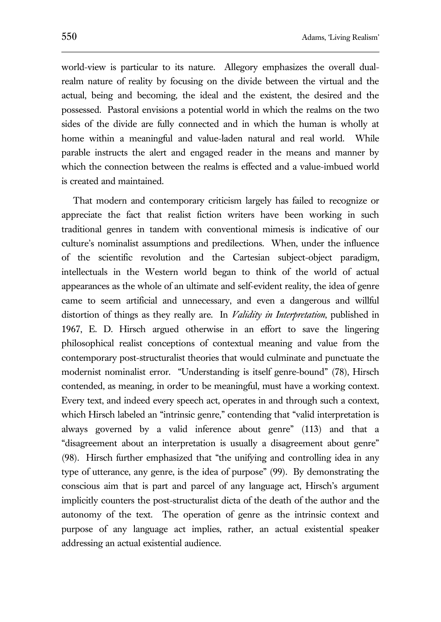world-view is particular to its nature. Allegory emphasizes the overall dualrealm nature of reality by focusing on the divide between the virtual and the actual, being and becoming, the ideal and the existent, the desired and the possessed. Pastoral envisions a potential world in which the realms on the two sides of the divide are fully connected and in which the human is wholly at home within a meaningful and value-laden natural and real world. While parable instructs the alert and engaged reader in the means and manner by which the connection between the realms is effected and a value-imbued world is created and maintained.

That modern and contemporary criticism largely has failed to recognize or appreciate the fact that realist fiction writers have been working in such traditional genres in tandem with conventional mimesis is indicative of our culture's nominalist assumptions and predilections. When, under the influence of the scientific revolution and the Cartesian subject-object paradigm, intellectuals in the Western world began to think of the world of actual appearances as the whole of an ultimate and self-evident reality, the idea of genre came to seem artificial and unnecessary, and even a dangerous and willful distortion of things as they really are. In *Validity in Interpretation*, published in 1967, E. D. Hirsch argued otherwise in an effort to save the lingering philosophical realist conceptions of contextual meaning and value from the contemporary post-structuralist theories that would culminate and punctuate the modernist nominalist error. "Understanding is itself genre-bound" (78), Hirsch contended, as meaning, in order to be meaningful, must have a working context. Every text, and indeed every speech act, operates in and through such a context, which Hirsch labeled an "intrinsic genre," contending that "valid interpretation is always governed by a valid inference about genre" (113) and that a "disagreement about an interpretation is usually a disagreement about genre" (98). Hirsch further emphasized that "the unifying and controlling idea in any type of utterance, any genre, is the idea of purpose" (99). By demonstrating the conscious aim that is part and parcel of any language act, Hirsch's argument implicitly counters the post-structuralist dicta of the death of the author and the autonomy of the text. The operation of genre as the intrinsic context and purpose of any language act implies, rather, an actual existential speaker addressing an actual existential audience.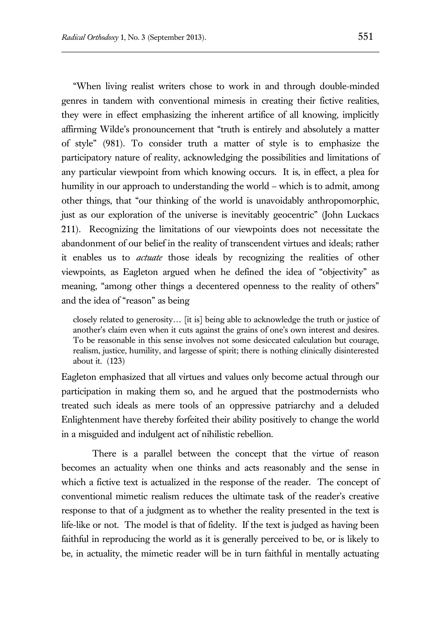"When living realist writers chose to work in and through double-minded genres in tandem with conventional mimesis in creating their fictive realities, they were in effect emphasizing the inherent artifice of all knowing, implicitly affirming Wilde's pronouncement that "truth is entirely and absolutely a matter of style" (981). To consider truth a matter of style is to emphasize the participatory nature of reality, acknowledging the possibilities and limitations of any particular viewpoint from which knowing occurs. It is, in effect, a plea for humility in our approach to understanding the world – which is to admit, among other things, that "our thinking of the world is unavoidably anthropomorphic, just as our exploration of the universe is inevitably geocentric" (John Luckacs 211). Recognizing the limitations of our viewpoints does not necessitate the abandonment of our belief in the reality of transcendent virtues and ideals; rather it enables us to *actuate* those ideals by recognizing the realities of other viewpoints, as Eagleton argued when he defined the idea of "objectivity" as meaning, "among other things a decentered openness to the reality of others" and the idea of "reason" as being

closely related to generosity… [it is] being able to acknowledge the truth or justice of another's claim even when it cuts against the grains of one's own interest and desires. To be reasonable in this sense involves not some desiccated calculation but courage, realism, justice, humility, and largesse of spirit; there is nothing clinically disinterested about it. (123)

Eagleton emphasized that all virtues and values only become actual through our participation in making them so, and he argued that the postmodernists who treated such ideals as mere tools of an oppressive patriarchy and a deluded Enlightenment have thereby forfeited their ability positively to change the world in a misguided and indulgent act of nihilistic rebellion.

There is a parallel between the concept that the virtue of reason becomes an actuality when one thinks and acts reasonably and the sense in which a fictive text is actualized in the response of the reader. The concept of conventional mimetic realism reduces the ultimate task of the reader's creative response to that of a judgment as to whether the reality presented in the text is life-like or not. The model is that of fidelity. If the text is judged as having been faithful in reproducing the world as it is generally perceived to be, or is likely to be, in actuality, the mimetic reader will be in turn faithful in mentally actuating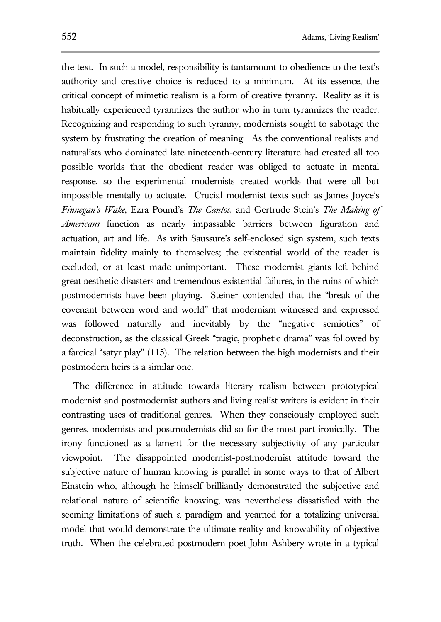the text. In such a model, responsibility is tantamount to obedience to the text's authority and creative choice is reduced to a minimum. At its essence, the critical concept of mimetic realism is a form of creative tyranny. Reality as it is habitually experienced tyrannizes the author who in turn tyrannizes the reader. Recognizing and responding to such tyranny, modernists sought to sabotage the system by frustrating the creation of meaning. As the conventional realists and naturalists who dominated late nineteenth-century literature had created all too possible worlds that the obedient reader was obliged to actuate in mental response, so the experimental modernists created worlds that were all but impossible mentally to actuate. Crucial modernist texts such as James Joyce's *Finnegan's Wake*, Ezra Pound's *The Cantos*, and Gertrude Stein's *The Making of Americans* function as nearly impassable barriers between figuration and actuation, art and life. As with Saussure's self-enclosed sign system, such texts maintain fidelity mainly to themselves; the existential world of the reader is excluded, or at least made unimportant. These modernist giants left behind great aesthetic disasters and tremendous existential failures, in the ruins of which postmodernists have been playing. Steiner contended that the "break of the covenant between word and world" that modernism witnessed and expressed was followed naturally and inevitably by the "negative semiotics" of deconstruction, as the classical Greek "tragic, prophetic drama" was followed by a farcical "satyr play" (115). The relation between the high modernists and their postmodern heirs is a similar one.

The difference in attitude towards literary realism between prototypical modernist and postmodernist authors and living realist writers is evident in their contrasting uses of traditional genres. When they consciously employed such genres, modernists and postmodernists did so for the most part ironically. The irony functioned as a lament for the necessary subjectivity of any particular viewpoint. The disappointed modernist-postmodernist attitude toward the subjective nature of human knowing is parallel in some ways to that of Albert Einstein who, although he himself brilliantly demonstrated the subjective and relational nature of scientific knowing, was nevertheless dissatisfied with the seeming limitations of such a paradigm and yearned for a totalizing universal model that would demonstrate the ultimate reality and knowability of objective truth. When the celebrated postmodern poet John Ashbery wrote in a typical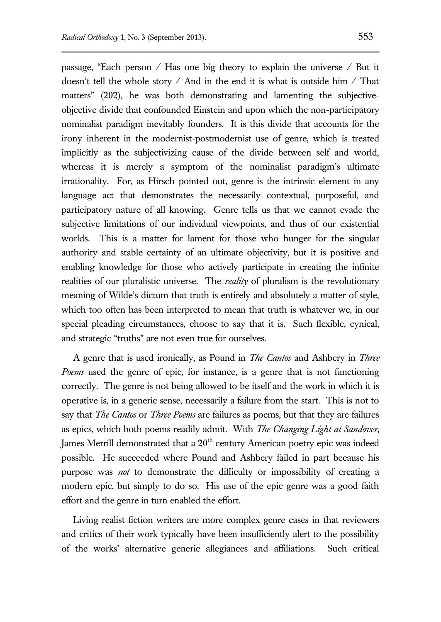passage, "Each person / Has one big theory to explain the universe / But it doesn't tell the whole story / And in the end it is what is outside him / That matters" (202), he was both demonstrating and lamenting the subjectiveobjective divide that confounded Einstein and upon which the non-participatory nominalist paradigm inevitably founders. It is this divide that accounts for the irony inherent in the modernist-postmodernist use of genre, which is treated implicitly as the subjectivizing cause of the divide between self and world, whereas it is merely a symptom of the nominalist paradigm's ultimate irrationality. For, as Hirsch pointed out, genre is the intrinsic element in any language act that demonstrates the necessarily contextual, purposeful, and participatory nature of all knowing. Genre tells us that we cannot evade the subjective limitations of our individual viewpoints, and thus of our existential worlds. This is a matter for lament for those who hunger for the singular authority and stable certainty of an ultimate objectivity, but it is positive and enabling knowledge for those who actively participate in creating the infinite realities of our pluralistic universe. The *reality* of pluralism is the revolutionary meaning of Wilde's dictum that truth is entirely and absolutely a matter of style, which too often has been interpreted to mean that truth is whatever we, in our special pleading circumstances, choose to say that it is. Such flexible, cynical, and strategic "truths" are not even true for ourselves.

A genre that is used ironically, as Pound in *The Cantos* and Ashbery in *Three Poems* used the genre of epic, for instance, is a genre that is not functioning correctly. The genre is not being allowed to be itself and the work in which it is operative is, in a generic sense, necessarily a failure from the start. This is not to say that *The Cantos* or *Three Poems* are failures as poems, but that they are failures as epics, which both poems readily admit. With *The Changing Light at Sandover*, James Merrill demonstrated that a  $20<sup>th</sup>$  century American poetry epic was indeed possible. He succeeded where Pound and Ashbery failed in part because his purpose was *not* to demonstrate the difficulty or impossibility of creating a modern epic, but simply to do so. His use of the epic genre was a good faith effort and the genre in turn enabled the effort.

Living realist fiction writers are more complex genre cases in that reviewers and critics of their work typically have been insufficiently alert to the possibility of the works' alternative generic allegiances and affiliations. Such critical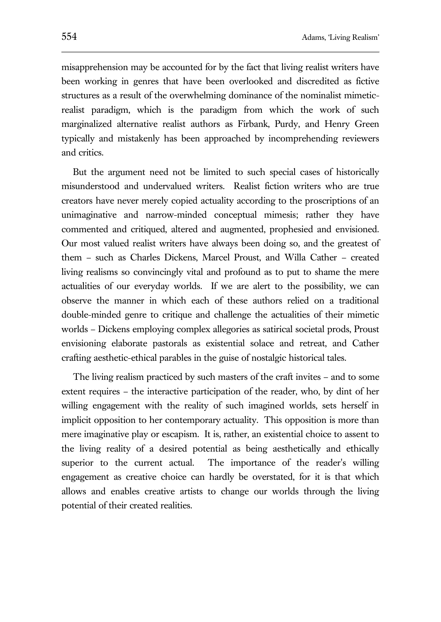misapprehension may be accounted for by the fact that living realist writers have been working in genres that have been overlooked and discredited as fictive structures as a result of the overwhelming dominance of the nominalist mimeticrealist paradigm, which is the paradigm from which the work of such marginalized alternative realist authors as Firbank, Purdy, and Henry Green typically and mistakenly has been approached by incomprehending reviewers and critics.

But the argument need not be limited to such special cases of historically misunderstood and undervalued writers. Realist fiction writers who are true creators have never merely copied actuality according to the proscriptions of an unimaginative and narrow-minded conceptual mimesis; rather they have commented and critiqued, altered and augmented, prophesied and envisioned. Our most valued realist writers have always been doing so, and the greatest of them – such as Charles Dickens, Marcel Proust, and Willa Cather – created living realisms so convincingly vital and profound as to put to shame the mere actualities of our everyday worlds. If we are alert to the possibility, we can observe the manner in which each of these authors relied on a traditional double-minded genre to critique and challenge the actualities of their mimetic worlds – Dickens employing complex allegories as satirical societal prods, Proust envisioning elaborate pastorals as existential solace and retreat, and Cather crafting aesthetic-ethical parables in the guise of nostalgic historical tales.

The living realism practiced by such masters of the craft invites – and to some extent requires – the interactive participation of the reader, who, by dint of her willing engagement with the reality of such imagined worlds, sets herself in implicit opposition to her contemporary actuality. This opposition is more than mere imaginative play or escapism. It is, rather, an existential choice to assent to the living reality of a desired potential as being aesthetically and ethically superior to the current actual. The importance of the reader's willing engagement as creative choice can hardly be overstated, for it is that which allows and enables creative artists to change our worlds through the living potential of their created realities.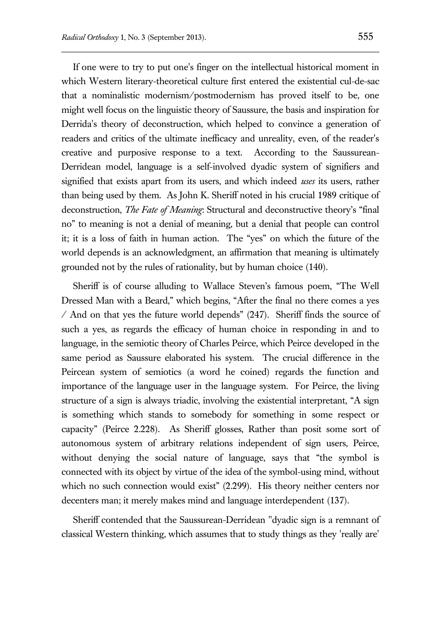If one were to try to put one's finger on the intellectual historical moment in which Western literary-theoretical culture first entered the existential cul-de-sac that a nominalistic modernism/postmodernism has proved itself to be, one might well focus on the linguistic theory of Saussure, the basis and inspiration for Derrida's theory of deconstruction, which helped to convince a generation of readers and critics of the ultimate inefficacy and unreality, even, of the reader's creative and purposive response to a text. According to the Saussurean-Derridean model, language is a self-involved dyadic system of signifiers and signified that exists apart from its users, and which indeed *uses* its users, rather than being used by them. As John K. Sheriff noted in his crucial 1989 critique of deconstruction, *The Fate of Meaning*: Structural and deconstructive theory's "final no" to meaning is not a denial of meaning, but a denial that people can control it; it is a loss of faith in human action. The "yes" on which the future of the world depends is an acknowledgment, an affirmation that meaning is ultimately grounded not by the rules of rationality, but by human choice (140).

Sheriff is of course alluding to Wallace Steven's famous poem, "The Well Dressed Man with a Beard," which begins, "After the final no there comes a yes / And on that yes the future world depends" (247). Sheriff finds the source of such a yes, as regards the efficacy of human choice in responding in and to language, in the semiotic theory of Charles Peirce, which Peirce developed in the same period as Saussure elaborated his system. The crucial difference in the Peircean system of semiotics (a word he coined) regards the function and importance of the language user in the language system. For Peirce, the living structure of a sign is always triadic, involving the existential interpretant, "A sign is something which stands to somebody for something in some respect or capacity" (Peirce 2.228). As Sheriff glosses, Rather than posit some sort of autonomous system of arbitrary relations independent of sign users, Peirce, without denying the social nature of language, says that "the symbol is connected with its object by virtue of the idea of the symbol-using mind, without which no such connection would exist" (2.299). His theory neither centers nor decenters man; it merely makes mind and language interdependent (137).

Sheriff contended that the Saussurean-Derridean "dyadic sign is a remnant of classical Western thinking, which assumes that to study things as they 'really are'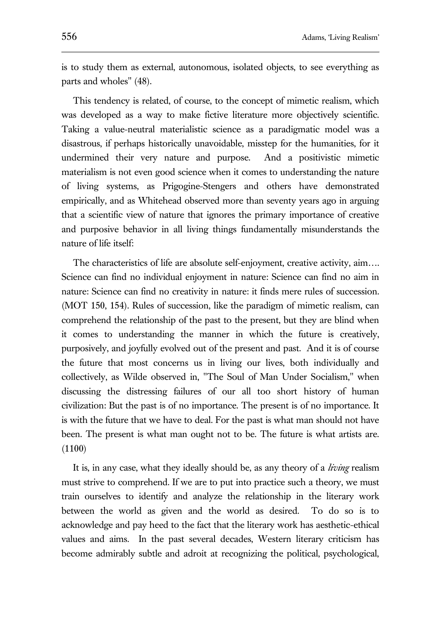is to study them as external, autonomous, isolated objects, to see everything as parts and wholes" (48).

This tendency is related, of course, to the concept of mimetic realism, which was developed as a way to make fictive literature more objectively scientific. Taking a value-neutral materialistic science as a paradigmatic model was a disastrous, if perhaps historically unavoidable, misstep for the humanities, for it undermined their very nature and purpose. And a positivistic mimetic materialism is not even good science when it comes to understanding the nature of living systems, as Prigogine-Stengers and others have demonstrated empirically, and as Whitehead observed more than seventy years ago in arguing that a scientific view of nature that ignores the primary importance of creative and purposive behavior in all living things fundamentally misunderstands the nature of life itself:

The characteristics of life are absolute self-enjoyment, creative activity, aim…. Science can find no individual enjoyment in nature: Science can find no aim in nature: Science can find no creativity in nature: it finds mere rules of succession. (MOT 150, 154). Rules of succession, like the paradigm of mimetic realism, can comprehend the relationship of the past to the present, but they are blind when it comes to understanding the manner in which the future is creatively, purposively, and joyfully evolved out of the present and past. And it is of course the future that most concerns us in living our lives, both individually and collectively, as Wilde observed in, "The Soul of Man Under Socialism," when discussing the distressing failures of our all too short history of human civilization: But the past is of no importance. The present is of no importance. It is with the future that we have to deal. For the past is what man should not have been. The present is what man ought not to be. The future is what artists are. (1100)

It is, in any case, what they ideally should be, as any theory of a *living* realism must strive to comprehend. If we are to put into practice such a theory, we must train ourselves to identify and analyze the relationship in the literary work between the world as given and the world as desired. To do so is to acknowledge and pay heed to the fact that the literary work has aesthetic-ethical values and aims. In the past several decades, Western literary criticism has become admirably subtle and adroit at recognizing the political, psychological,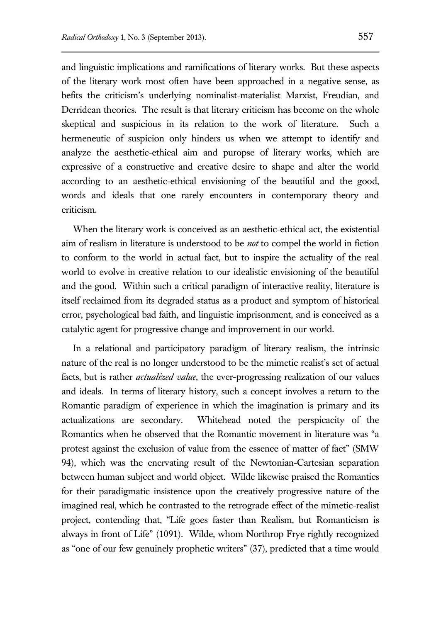and linguistic implications and ramifications of literary works. But these aspects of the literary work most often have been approached in a negative sense, as befits the criticism's underlying nominalist-materialist Marxist, Freudian, and Derridean theories. The result is that literary criticism has become on the whole skeptical and suspicious in its relation to the work of literature. Such a hermeneutic of suspicion only hinders us when we attempt to identify and analyze the aesthetic-ethical aim and puropse of literary works, which are expressive of a constructive and creative desire to shape and alter the world according to an aesthetic-ethical envisioning of the beautiful and the good, words and ideals that one rarely encounters in contemporary theory and criticism.

When the literary work is conceived as an aesthetic-ethical act, the existential aim of realism in literature is understood to be *not* to compel the world in fiction to conform to the world in actual fact, but to inspire the actuality of the real world to evolve in creative relation to our idealistic envisioning of the beautiful and the good. Within such a critical paradigm of interactive reality, literature is itself reclaimed from its degraded status as a product and symptom of historical error, psychological bad faith, and linguistic imprisonment, and is conceived as a catalytic agent for progressive change and improvement in our world.

In a relational and participatory paradigm of literary realism, the intrinsic nature of the real is no longer understood to be the mimetic realist's set of actual facts, but is rather *actualized value*, the ever-progressing realization of our values and ideals. In terms of literary history, such a concept involves a return to the Romantic paradigm of experience in which the imagination is primary and its actualizations are secondary. Whitehead noted the perspicacity of the Romantics when he observed that the Romantic movement in literature was "a protest against the exclusion of value from the essence of matter of fact" (SMW 94), which was the enervating result of the Newtonian-Cartesian separation between human subject and world object. Wilde likewise praised the Romantics for their paradigmatic insistence upon the creatively progressive nature of the imagined real, which he contrasted to the retrograde effect of the mimetic-realist project, contending that, "Life goes faster than Realism, but Romanticism is always in front of Life" (1091). Wilde, whom Northrop Frye rightly recognized as "one of our few genuinely prophetic writers" (37), predicted that a time would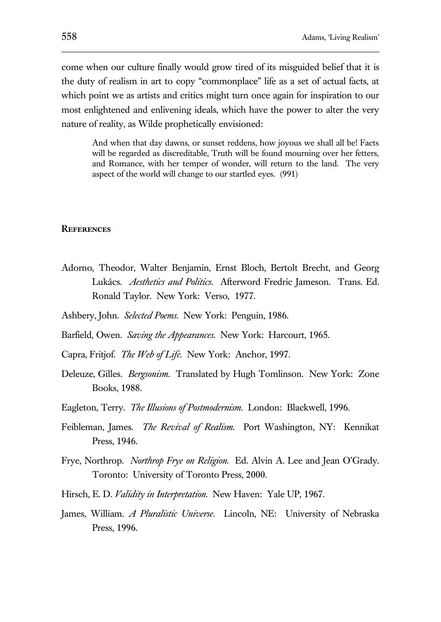come when our culture finally would grow tired of its misguided belief that it is the duty of realism in art to copy "commonplace" life as a set of actual facts, at which point we as artists and critics might turn once again for inspiration to our most enlightened and enlivening ideals, which have the power to alter the very nature of reality, as Wilde prophetically envisioned:

And when that day dawns, or sunset reddens, how joyous we shall all be! Facts will be regarded as discreditable, Truth will be found mourning over her fetters, and Romance, with her temper of wonder, will return to the land. The very aspect of the world will change to our startled eyes. (991)

## **References**

Adorno, Theodor, Walter Benjamin, Ernst Bloch, Bertolt Brecht, and Georg Lukács. *Aesthetics and Politics*. Afterword Fredric Jameson. Trans. Ed. Ronald Taylor. New York: Verso, 1977.

Ashbery, John. *Selected Poems*. New York: Penguin, 1986.

Barfield, Owen. *Saving the Appearances*. New York: Harcourt, 1965.

Capra, Fritjof. *The Web of Life*. New York: Anchor, 1997.

- Deleuze, Gilles. *Bergsonism*. Translated by Hugh Tomlinson. New York: Zone Books, 1988.
- Eagleton, Terry. *The Illusions of Postmodernism*. London: Blackwell, 1996.
- Feibleman, James. *The Revival of Realism*. Port Washington, NY: Kennikat Press, 1946.
- Frye, Northrop. *Northrop Frye on Religion.* Ed. Alvin A. Lee and Jean O'Grady. Toronto: University of Toronto Press, 2000.
- Hirsch, E. D. *Validity in Interpretation*. New Haven: Yale UP, 1967.
- James, William. *A Pluralistic Universe*. Lincoln, NE: University of Nebraska Press, 1996.